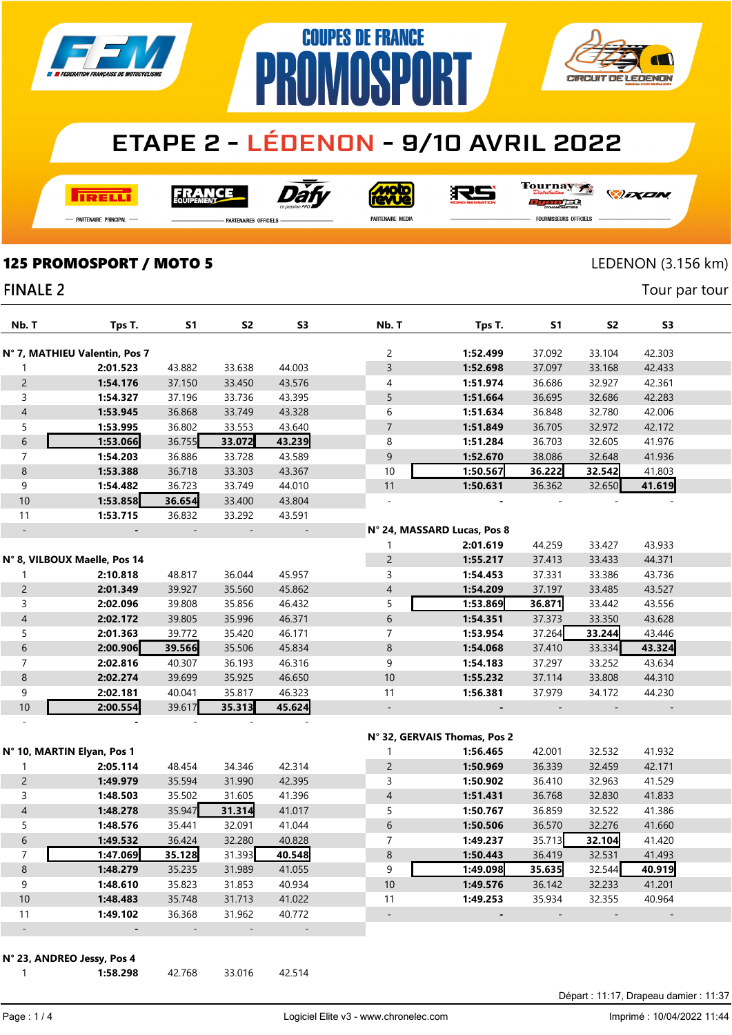

## **ETAPE 2 - LÉDENON - 9/10 AVRIL 2022**

**COUPES DE FRANCE** 

**IMNSP** 

**I तत्वच**र्च

Dàt FRANCE

<u>Moto</u><br>evve

RS

Tournay  $\overline{H}$ orse

*DEXEN* 

**CIRCUIT DE LEDENON** 

- Partenaire Principal

**PARTENAIRES OFFICIELS** 

PR

PARTENAIRE MEDIA

**FOURNISSEURS OFFICIELS** 

125 PROMOSPORT / MOTO 5 LEDENON (3.156 km)

Tour par tour

#### **FINALE 2**

| Nb. T                    | Tps T.                        | <b>S1</b> | S <sub>2</sub> | S <sub>3</sub>           | Nb. T                    | Tps T.                       | S1     | S <sub>2</sub> | S3     |  |
|--------------------------|-------------------------------|-----------|----------------|--------------------------|--------------------------|------------------------------|--------|----------------|--------|--|
|                          |                               |           |                |                          |                          |                              |        |                |        |  |
|                          | N° 7, MATHIEU Valentin, Pos 7 |           |                |                          | 2                        | 1:52.499                     | 37.092 | 33.104         | 42.303 |  |
| 1                        | 2:01.523                      | 43.882    | 33.638         | 44.003                   | $\overline{3}$           | 1:52.698                     | 37.097 | 33.168         | 42.433 |  |
| $\mathsf{2}\,$           | 1:54.176                      | 37.150    | 33.450         | 43.576                   | 4                        | 1:51.974                     | 36.686 | 32.927         | 42.361 |  |
| $\mathsf{3}$             | 1:54.327                      | 37.196    | 33.736         | 43.395                   | 5                        | 1:51.664                     | 36.695 | 32.686         | 42.283 |  |
| $\sqrt{4}$               | 1:53.945                      | 36.868    | 33.749         | 43.328                   | 6                        | 1:51.634                     | 36.848 | 32.780         | 42.006 |  |
| 5                        | 1:53.995                      | 36.802    | 33.553         | 43.640                   | $\overline{7}$           | 1:51.849                     | 36.705 | 32.972         | 42.172 |  |
| $\sqrt{6}$               | 1:53.066                      | 36.755    | 33.072         | 43.239                   | 8                        | 1:51.284                     | 36.703 | 32.605         | 41.976 |  |
| $\overline{7}$           | 1:54.203                      | 36.886    | 33.728         | 43.589                   | 9                        | 1:52.670                     | 38.086 | 32.648         | 41.936 |  |
| $\,8\,$                  | 1:53.388                      | 36.718    | 33.303         | 43.367                   | 10                       | 1:50.567                     | 36.222 | 32.542         | 41.803 |  |
| 9                        | 1:54.482                      | 36.723    | 33.749         | 44.010                   | 11                       | 1:50.631                     | 36.362 | 32.650         | 41.619 |  |
| 10                       | 1:53.858                      | 36.654    | 33.400         | 43.804                   |                          |                              |        |                |        |  |
| 11                       | 1:53.715                      | 36.832    | 33.292         | 43.591                   |                          |                              |        |                |        |  |
| $\frac{1}{2}$            |                               |           |                | $\overline{\phantom{a}}$ |                          | N° 24, MASSARD Lucas, Pos 8  |        |                |        |  |
|                          |                               |           |                |                          | 1                        | 2:01.619                     | 44.259 | 33.427         | 43.933 |  |
|                          | N° 8, VILBOUX Maelle, Pos 14  |           |                |                          | $\overline{c}$           | 1:55.217                     | 37.413 | 33.433         | 44.371 |  |
| 1                        | 2:10.818                      | 48.817    | 36.044         | 45.957                   | 3                        | 1:54.453                     | 37.331 | 33.386         | 43.736 |  |
| $\mathsf{2}\,$           | 2:01.349                      | 39.927    | 35.560         | 45.862                   | $\overline{4}$           | 1:54.209                     | 37.197 | 33.485         | 43.527 |  |
| 3                        | 2:02.096                      | 39.808    | 35.856         | 46.432                   | 5                        | 1:53.869                     | 36.871 | 33.442         | 43.556 |  |
| $\overline{4}$           | 2:02.172                      | 39.805    | 35.996         | 46.371                   | $\sqrt{6}$               | 1:54.351                     | 37.373 | 33.350         | 43.628 |  |
| 5                        | 2:01.363                      | 39.772    | 35.420         | 46.171                   | $\overline{7}$           | 1:53.954                     | 37.264 | 33.244         | 43.446 |  |
| $\,$ 6 $\,$              | 2:00.906                      | 39.566    | 35.506         | 45.834                   | $\bf 8$                  | 1:54.068                     | 37.410 | 33.334         | 43.324 |  |
| $\boldsymbol{7}$         | 2:02.816                      | 40.307    | 36.193         | 46.316                   | 9                        | 1:54.183                     | 37.297 | 33.252         | 43.634 |  |
| $\,8\,$                  | 2:02.274                      | 39.699    | 35.925         | 46.650                   | $10$                     | 1:55.232                     | 37.114 | 33.808         | 44.310 |  |
| 9                        | 2:02.181                      | 40.041    | 35.817         | 46.323                   | 11                       | 1:56.381                     | 37.979 | 34.172         | 44.230 |  |
| 10                       | 2:00.554                      | 39.617    | 35.313         | 45.624                   | $\Box$                   | $\overline{a}$               |        |                |        |  |
|                          |                               |           |                |                          |                          |                              |        |                |        |  |
|                          |                               |           |                |                          |                          | N° 32, GERVAIS Thomas, Pos 2 |        |                |        |  |
|                          | N° 10, MARTIN Elyan, Pos 1    |           |                |                          | 1                        | 1:56.465                     | 42.001 | 32.532         | 41.932 |  |
| $\mathbf{1}$             | 2:05.114                      | 48.454    | 34.346         | 42.314                   | $\overline{c}$           | 1:50.969                     | 36.339 | 32.459         | 42.171 |  |
| $\overline{c}$           | 1:49.979                      | 35.594    | 31.990         | 42.395                   | 3                        | 1:50.902                     | 36.410 | 32.963         | 41.529 |  |
| $\mathsf{3}$             | 1:48.503                      | 35.502    | 31.605         | 41.396                   | $\overline{4}$           | 1:51.431                     | 36.768 | 32.830         | 41.833 |  |
| $\overline{4}$           | 1:48.278                      | 35.947    | 31.314         | 41.017                   | 5                        | 1:50.767                     | 36.859 | 32.522         | 41.386 |  |
| 5                        | 1:48.576                      | 35.441    | 32.091         | 41.044                   | $\sqrt{6}$               | 1:50.506                     | 36.570 | 32.276         | 41.660 |  |
| $\sqrt{6}$               | 1:49.532                      | 36.424    | 32.280         | 40.828                   | 7                        | 1:49.237                     | 35.713 | 32.104         | 41.420 |  |
| $\overline{7}$           | 1:47.069                      | 35.128    | 31.393         | 40.548                   | 8                        | 1:50.443                     | 36.419 | 32.531         | 41.493 |  |
| $\,8\,$                  | 1:48.279                      | 35.235    | 31.989         | 41.055                   | 9                        | 1:49.098                     | 35.635 | 32.544         | 40.919 |  |
| $\boldsymbol{9}$         | 1:48.610                      | 35.823    | 31.853         | 40.934                   | 10                       | 1:49.576                     | 36.142 | 32.233         | 41.201 |  |
| 10                       | 1:48.483                      | 35.748    | 31.713         | 41.022                   | 11                       | 1:49.253                     | 35.934 | 32.355         | 40.964 |  |
| 11                       | 1:49.102                      | 36.368    | 31.962         | 40.772                   | $\overline{\phantom{a}}$ |                              |        |                |        |  |
| $\overline{\phantom{a}}$ |                               |           |                |                          |                          |                              |        |                |        |  |

N° 23, ANDREO Jessy, Pos 4

1:58.298 42.768 33.016 42.514

Page : 1 / 4

Départ : 11:17, Drapeau damier : 11:37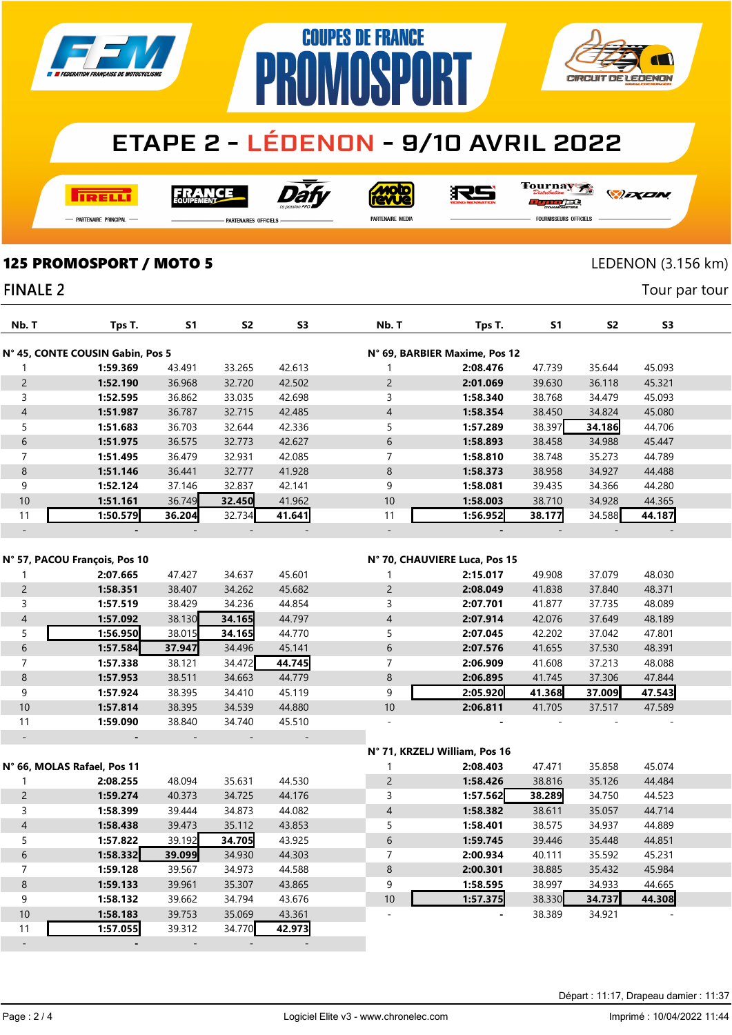

# **ETAPE 2 - LÉDENON - 9/10 AVRIL 2022**

**COUPES DE FRANCE** 

**AMASPART** 

**I तत्वच**र्च

Dàl **FRANCE** 

**Moto** 

RS

Tournay orse

*DEXEN* 

**CIRCUIT DE LEDENON** 

- Partenaire Principal

**PARTENAIRES OFFICIELS** 

PR

PARTENAIRE MEDIA

FOURNISSEURS OFFICIELS

Tour par tour

### 125 PROMOSPORT / MOTO 5 LEDENON (3.156 km)

#### **FINALE 2**

| Nb. T                                                             | Tps T.                        | <b>S1</b> | S2     | S3     | Nb. T                    | Tps T.                        | S1     | S <sub>2</sub> | S3     |  |
|-------------------------------------------------------------------|-------------------------------|-----------|--------|--------|--------------------------|-------------------------------|--------|----------------|--------|--|
| N° 45, CONTE COUSIN Gabin, Pos 5<br>N° 69, BARBIER Maxime, Pos 12 |                               |           |        |        |                          |                               |        |                |        |  |
| 1                                                                 | 1:59.369                      | 43.491    | 33.265 | 42.613 | $\mathbf{1}$             | 2:08.476                      | 47.739 | 35.644         | 45.093 |  |
| $\overline{c}$                                                    | 1:52.190                      | 36.968    | 32.720 | 42.502 | $\overline{c}$           | 2:01.069                      | 39.630 | 36.118         | 45.321 |  |
| 3                                                                 | 1:52.595                      | 36.862    | 33.035 | 42.698 | 3                        | 1:58.340                      | 38.768 | 34.479         | 45.093 |  |
| $\overline{4}$                                                    | 1:51.987                      | 36.787    | 32.715 | 42.485 | $\overline{4}$           | 1:58.354                      | 38.450 | 34.824         | 45.080 |  |
| 5                                                                 | 1:51.683                      | 36.703    | 32.644 | 42.336 | 5                        | 1:57.289                      | 38.397 | 34.186         | 44.706 |  |
| 6                                                                 | 1:51.975                      | 36.575    | 32.773 | 42.627 | 6                        | 1:58.893                      | 38.458 | 34.988         | 45.447 |  |
| $\overline{7}$                                                    | 1:51.495                      | 36.479    | 32.931 | 42.085 | $\overline{7}$           | 1:58.810                      | 38.748 | 35.273         | 44.789 |  |
| 8                                                                 | 1:51.146                      | 36.441    | 32.777 | 41.928 | 8                        | 1:58.373                      | 38.958 | 34.927         | 44.488 |  |
| 9                                                                 | 1:52.124                      | 37.146    | 32.837 | 42.141 | 9                        | 1:58.081                      | 39.435 | 34.366         | 44.280 |  |
| 10                                                                | 1:51.161                      | 36.749    | 32.450 | 41.962 | 10                       | 1:58.003                      | 38.710 | 34.928         | 44.365 |  |
| 11                                                                | 1:50.579                      | 36.204    | 32.734 | 41.641 | 11                       | 1:56.952                      | 38.177 | 34.588         | 44.187 |  |
| $\overline{\phantom{a}}$                                          |                               |           |        |        | $\overline{\phantom{a}}$ |                               |        |                |        |  |
|                                                                   | N° 57, PACOU François, Pos 10 |           |        |        |                          | N° 70, CHAUVIERE Luca, Pos 15 |        |                |        |  |
| 1                                                                 | 2:07.665                      | 47.427    | 34.637 | 45.601 | 1                        | 2:15.017                      | 49.908 | 37.079         | 48.030 |  |
| $\overline{c}$                                                    | 1:58.351                      | 38.407    | 34.262 | 45.682 | $\overline{c}$           | 2:08.049                      | 41.838 | 37.840         | 48.371 |  |
| 3                                                                 | 1:57.519                      | 38.429    | 34.236 | 44.854 | 3                        | 2:07.701                      | 41.877 | 37.735         | 48.089 |  |
| $\overline{\mathcal{L}}$                                          | 1:57.092                      | 38.130    | 34.165 | 44.797 | $\overline{4}$           | 2:07.914                      | 42.076 | 37.649         | 48.189 |  |
| 5                                                                 | 1:56.950                      | 38.015    | 34.165 | 44.770 | 5                        | 2:07.045                      | 42.202 | 37.042         | 47.801 |  |
| 6                                                                 | 1:57.584                      | 37.947    | 34.496 | 45.141 | 6                        | 2:07.576                      | 41.655 | 37.530         | 48.391 |  |
| $\overline{7}$                                                    | 1:57.338                      | 38.121    | 34.472 | 44.745 | $\overline{7}$           | 2:06.909                      | 41.608 | 37.213         | 48.088 |  |
| $\bf 8$                                                           | 1:57.953                      | 38.511    | 34.663 | 44.779 | $\,8\,$                  | 2:06.895                      | 41.745 | 37.306         | 47.844 |  |
| 9                                                                 | 1:57.924                      | 38.395    | 34.410 | 45.119 | 9                        | 2:05.920                      | 41.368 | 37.009         | 47.543 |  |
| 10                                                                | 1:57.814                      | 38.395    | 34.539 | 44.880 | 10                       | 2:06.811                      | 41.705 | 37.517         | 47.589 |  |
| 11                                                                | 1:59.090                      | 38.840    | 34.740 | 45.510 | $\bar{a}$                |                               |        |                |        |  |
| $\Box$                                                            |                               |           |        |        |                          |                               |        |                |        |  |
|                                                                   |                               |           |        |        |                          | N° 71, KRZELJ William, Pos 16 |        |                |        |  |
|                                                                   | N° 66, MOLAS Rafael, Pos 11   |           |        |        | 1                        | 2:08.403                      | 47.471 | 35.858         | 45.074 |  |
| 1                                                                 | 2:08.255                      | 48.094    | 35.631 | 44.530 | $\overline{c}$           | 1:58.426                      | 38.816 | 35.126         | 44.484 |  |
| $\overline{2}$                                                    | 1:59.274                      | 40.373    | 34.725 | 44.176 | 3                        | 1:57.562                      | 38.289 | 34.750         | 44.523 |  |
| 3                                                                 | 1:58.399                      | 39.444    | 34.873 | 44.082 | $\sqrt{4}$               | 1:58.382                      | 38.611 | 35.057         | 44.714 |  |
| $\overline{4}$                                                    | 1:58.438                      | 39.473    | 35.112 | 43.853 | 5                        | 1:58.401                      | 38.575 | 34.937         | 44.889 |  |
| 5                                                                 | 1:57.822                      | 39.192    | 34.705 | 43.925 | 6                        | 1:59.745                      | 39.446 | 35.448         | 44.851 |  |
| $6\,$                                                             | 1:58.332                      | 39.099    | 34.930 | 44.303 | $\overline{7}$           | 2:00.934                      | 40.111 | 35.592         | 45.231 |  |
| $\overline{7}$                                                    | 1:59.128                      | 39.567    | 34.973 | 44.588 | 8                        | 2:00.301                      | 38.885 | 35.432         | 45.984 |  |
| 8                                                                 | 1:59.133                      | 39.961    | 35.307 | 43.865 | 9                        | 1:58.595                      | 38.997 | 34.933         | 44.665 |  |
| 9                                                                 | 1:58.132                      | 39.662    | 34.794 | 43.676 | 10                       | 1:57.375                      | 38.330 | 34.737         | 44.308 |  |
| 10                                                                | 1:58.183                      | 39.753    | 35.069 | 43.361 |                          |                               | 38.389 | 34.921         |        |  |
| 11                                                                | 1:57.055                      | 39.312    | 34.770 | 42.973 |                          |                               |        |                |        |  |
| $\overline{\phantom{a}}$                                          |                               |           |        |        |                          |                               |        |                |        |  |

Départ : 11:17, Drapeau damier : 11:37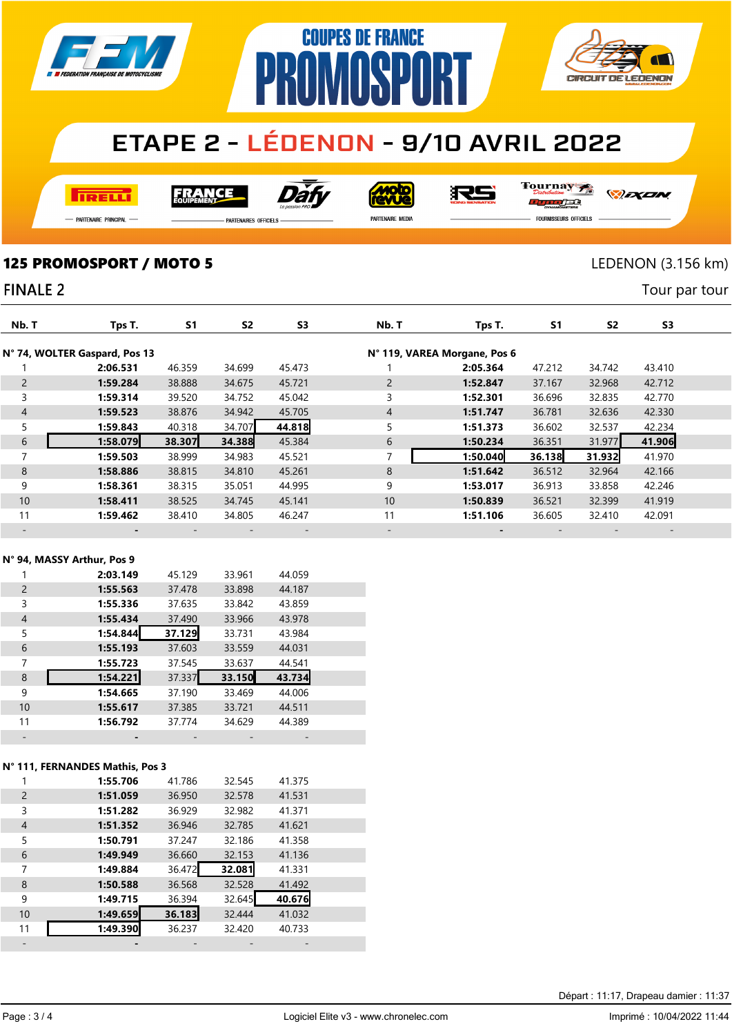

# **ETAPE 2 - LÉDENON - 9/10 AVRIL 2022**

**COUPES DE FRANCE** 

**PRAMASPART** 

**REELT** 

Dàt **FRANCE** 

**MOLO** 

RS

Tournay ra

- Partenaire Principal

.<br>Partenaires officiels

PARTENAIRE MEDIA

FOURNISSEURS OFFICIELS

*DEXEN* 

**CIRCUIT DE LEDENON** 

Tour par tour

125 PROMOSPORT / MOTO 5 LEDENON (3.156 km)

### **FINALE 2**

| Nb. T          | Tps T.                        | <b>S1</b> | S <sub>2</sub> | S <sub>3</sub> | Nb. T          | Tps T.                       | <b>S1</b> | S <sub>2</sub> | S <sub>3</sub> |  |
|----------------|-------------------------------|-----------|----------------|----------------|----------------|------------------------------|-----------|----------------|----------------|--|
|                | N° 74, WOLTER Gaspard, Pos 13 |           |                |                |                | N° 119, VAREA Morgane, Pos 6 |           |                |                |  |
|                | 2:06.531                      | 46.359    | 34.699         | 45.473         |                | 2:05.364                     | 47.212    | 34.742         | 43.410         |  |
| $\overline{2}$ | 1:59.284                      | 38.888    | 34.675         | 45.721         | $\overline{2}$ | 1:52.847                     | 37.167    | 32.968         | 42.712         |  |
| 3              | 1:59.314                      | 39.520    | 34.752         | 45.042         | 3              | 1:52.301                     | 36.696    | 32.835         | 42.770         |  |
| $\overline{4}$ | 1:59.523                      | 38.876    | 34.942         | 45.705         | $\overline{4}$ | 1:51.747                     | 36.781    | 32.636         | 42.330         |  |
| 5              | 1:59.843                      | 40.318    | 34.707         | 44.818         | 5              | 1:51.373                     | 36.602    | 32.537         | 42.234         |  |
| 6              | 1:58.079                      | 38.307    | 34.388         | 45.384         | 6              | 1:50.234                     | 36.351    | 31.977         | 41.906         |  |
| $\overline{ }$ | 1:59.503                      | 38.999    | 34.983         | 45.521         | $\overline{ }$ | 1:50.040                     | 36.138    | 31.932         | 41.970         |  |
| 8              | 1:58.886                      | 38.815    | 34.810         | 45.261         | 8              | 1:51.642                     | 36.512    | 32.964         | 42.166         |  |
| 9              | 1:58.361                      | 38.315    | 35.051         | 44.995         | 9              | 1:53.017                     | 36.913    | 33.858         | 42.246         |  |
| 10             | 1:58.411                      | 38.525    | 34.745         | 45.141         | 10             | 1:50.839                     | 36.521    | 32.399         | 41.919         |  |
| 11             | 1:59.462                      | 38.410    | 34.805         | 46.247         | 11             | 1:51.106                     | 36.605    | 32.410         | 42.091         |  |
|                |                               |           |                |                |                |                              |           |                |                |  |

#### N° 94, MASSY Arthur, Pos 9

|                | 2:03.149 | 45.129 | 33.961 | 44.059 |  |
|----------------|----------|--------|--------|--------|--|
| $\overline{2}$ | 1:55.563 | 37.478 | 33.898 | 44.187 |  |
| 3              | 1:55.336 | 37.635 | 33.842 | 43.859 |  |
| 4              | 1:55.434 | 37.490 | 33.966 | 43.978 |  |
| 5              | 1:54.844 | 37.129 | 33.731 | 43.984 |  |
| 6              | 1:55.193 | 37.603 | 33.559 | 44.031 |  |
| 7              | 1:55.723 | 37.545 | 33.637 | 44.541 |  |
| 8              | 1:54.221 | 37.337 | 33.150 | 43.734 |  |
| 9              | 1:54.665 | 37.190 | 33.469 | 44.006 |  |
| 10             | 1:55.617 | 37.385 | 33.721 | 44.511 |  |
| 11             | 1:56.792 | 37.774 | 34.629 | 44.389 |  |
|                |          |        |        |        |  |

#### N° 111, FERNANDES Mathis, Pos 3

|    | 1:55.706 | 41.786 | 32.545 | 41.375 |  |
|----|----------|--------|--------|--------|--|
| 2  | 1:51.059 | 36.950 | 32.578 | 41.531 |  |
| 3  | 1:51.282 | 36.929 | 32.982 | 41.371 |  |
| 4  | 1:51.352 | 36.946 | 32.785 | 41.621 |  |
| 5  | 1:50.791 | 37.247 | 32.186 | 41.358 |  |
| 6  | 1:49.949 | 36.660 | 32.153 | 41.136 |  |
|    |          |        |        |        |  |
| 7  | 1:49.884 | 36.472 | 32.081 | 41.331 |  |
| 8  | 1:50.588 | 36.568 | 32.528 | 41.492 |  |
| 9  | 1:49.715 | 36.394 | 32.645 | 40.676 |  |
| 10 | 1:49.659 | 36.183 | 32.444 | 41.032 |  |
| 11 | 1:49.390 | 36.237 | 32.420 | 40.733 |  |

Départ : 11:17, Drapeau damier : 11:37